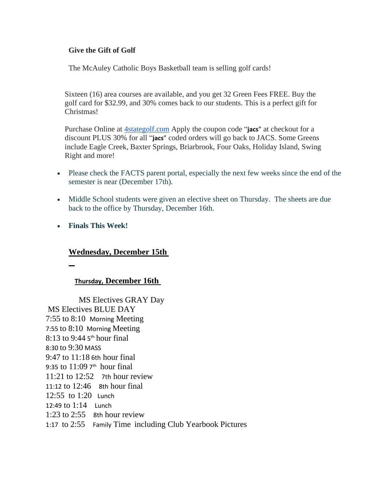#### **Give the Gift of Golf**

The McAuley Catholic Boys Basketball team is selling golf cards!

Sixteen (16) area courses are available, and you get 32 Green Fees FREE. Buy the golf card for \$32.99, and 30% comes back to our students. This is a perfect gift for Christmas!

Purchase Online at [4stategolf.com](http://4stategolf.com/) Apply the coupon code "**jacs**" at checkout for a discount PLUS 30% for all "**jacs**" coded orders will go back to JACS. Some Greens include Eagle Creek, Baxter Springs, Briarbrook, Four Oaks, Holiday Island, Swing Right and more!

- Please check the FACTS parent portal, especially the next few weeks since the end of the semester is near (December 17th).
- Middle School students were given an elective sheet on Thursday. The sheets are due back to the office by Thursday, December 16th.
- **Finals This Week!**

### **Wednesday, December 15th**

### **Thursday, December 16th**

MS Electives GRAY Day MS Electives BLUE DAY 7:55 to 8:10 Morning Meeting 7:55 to 8:10 Morning Meeting  $8:13$  to 9:44 5<sup>th</sup> hour final 8:30 to 9:30 MASS 9:47 to 11:18 6th hour final 9:35 to  $11:097<sup>th</sup>$  hour final 11:21 to  $12:52$  7th hour review 11:12 to 12:46 8th hour final 12:55 to 1:20 Lunch 12:49 to 1:14 Lunch 1:23 to 2:55 8th hour review 1:17 to 2:55 Family Time including Club Yearbook Pictures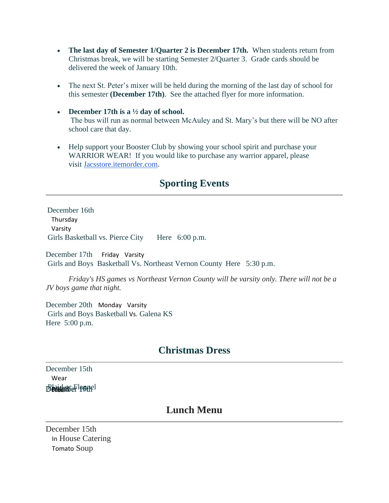- **The last day of Semester 1/Quarter 2 is December 17th.** When students return from Christmas break, we will be starting Semester 2/Quarter 3. Grade cards should be delivered the week of January 10th.
- The next St. Peter's mixer will be held during the morning of the last day of school for this semester **(December 17th)**. See the attached flyer for more information.
- **December 17th is a ½ day of school.** The bus will run as normal between McAuley and St. Mary's but there will be NO after school care that day.
- Help support your Booster Club by showing your school spirit and purchase your WARRIOR WEAR! If you would like to purchase any warrior apparel, please visit [Jacsstore.itemorder.com.](http://jacsstore.itemorder.com/)

# **Sporting Events**

December 16th Thursday Varsity Girls Basketball vs. Pierce City Here 6:00 p.m.

December 17th Friday Varsity Girls and Boys Basketball Vs. Northeast Vernon County Here 5:30 p.m.

*Friday's HS games vs Northeast Vernon County will be varsity only. There will not be a JV boys game that night.*

December 20th Monday Varsity Girls and Boys Basketball Vs. Galena KS Here 5:00 p.m.

## **Christmas Dress**

December 15th Wear **Beaudonse Flannel** 

### **Lunch Menu**

December 15th In House Catering Tomato Soup